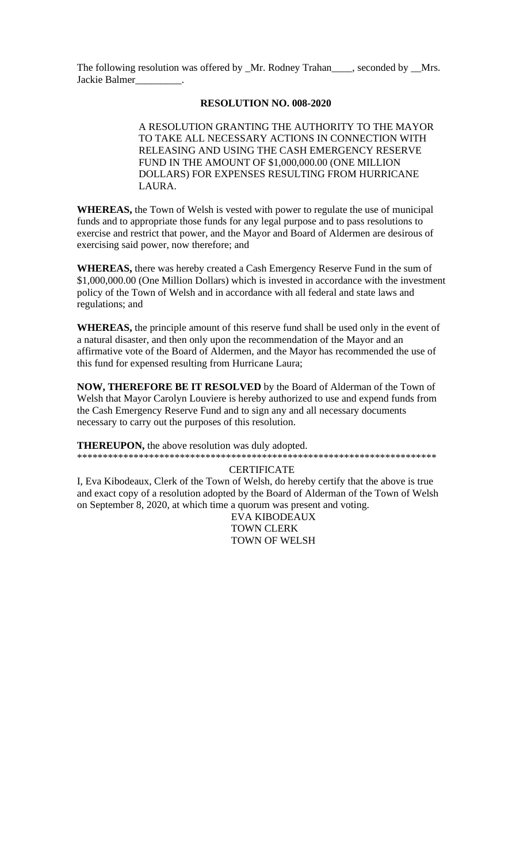The following resolution was offered by \_Mr. Rodney Trahan\_\_\_\_, seconded by \_\_Mrs. Jackie Balmer\_

## **RESOLUTION NO. 008-2020**

A RESOLUTION GRANTING THE AUTHORITY TO THE MAYOR TO TAKE ALL NECESSARY ACTIONS IN CONNECTION WITH RELEASING AND USING THE CASH EMERGENCY RESERVE FUND IN THE AMOUNT OF \$1,000,000.00 (ONE MILLION DOLLARS) FOR EXPENSES RESULTING FROM HURRICANE LAURA.

**WHEREAS,** the Town of Welsh is vested with power to regulate the use of municipal funds and to appropriate those funds for any legal purpose and to pass resolutions to exercise and restrict that power, and the Mayor and Board of Aldermen are desirous of exercising said power, now therefore; and

WHEREAS, there was hereby created a Cash Emergency Reserve Fund in the sum of \$1,000,000.00 (One Million Dollars) which is invested in accordance with the investment policy of the Town of Welsh and in accordance with all federal and state laws and regulations; and

**WHEREAS**, the principle amount of this reserve fund shall be used only in the event of a natural disaster, and then only upon the recommendation of the Mayor and an affirmative vote of the Board of Aldermen, and the Mayor has recommended the use of this fund for expensed resulting from Hurricane Laura;

NOW, THEREFORE BE IT RESOLVED by the Board of Alderman of the Town of Welsh that Mayor Carolyn Louviere is hereby authorized to use and expend funds from the Cash Emergency Reserve Fund and to sign any and all necessary documents necessary to carry out the purposes of this resolution.

**THEREUPON,** the above resolution was duly adopted.

## **CERTIFICATE**

I, Eva Kibodeaux, Clerk of the Town of Welsh, do hereby certify that the above is true and exact copy of a resolution adopted by the Board of Alderman of the Town of Welsh on September 8, 2020, at which time a quorum was present and voting.

EVA KIBODEAUX **TOWN CLERK TOWN OF WELSH**